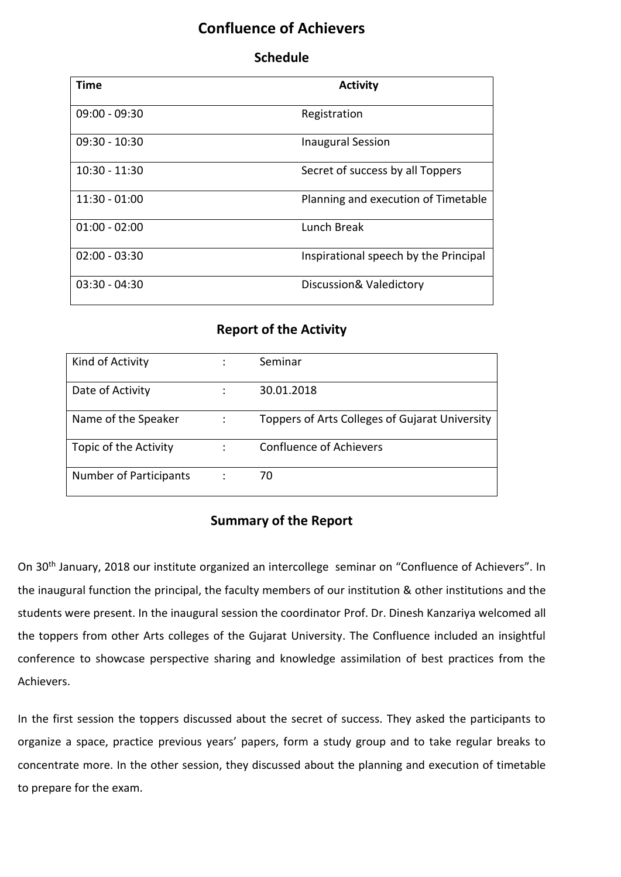## **Confluence of Achievers**

## **Schedule**

| <b>Time</b>     | <b>Activity</b>                       |
|-----------------|---------------------------------------|
|                 |                                       |
| $09:00 - 09:30$ | Registration                          |
| $09:30 - 10:30$ | <b>Inaugural Session</b>              |
| $10:30 - 11:30$ | Secret of success by all Toppers      |
| $11:30 - 01:00$ | Planning and execution of Timetable   |
| $01:00 - 02:00$ | Lunch Break                           |
| $02:00 - 03:30$ | Inspirational speech by the Principal |
| $03:30 - 04:30$ | Discussion& Valedictory               |

## **Report of the Activity**

| Kind of Activity              |                | Seminar                                        |
|-------------------------------|----------------|------------------------------------------------|
| Date of Activity              |                | 30.01.2018                                     |
| Name of the Speaker           | $\ddot{\cdot}$ | Toppers of Arts Colleges of Gujarat University |
| Topic of the Activity         | ÷              | <b>Confluence of Achievers</b>                 |
| <b>Number of Participants</b> |                | 70                                             |

## **Summary of the Report**

On 30th January, 2018 our institute organized an intercollege seminar on "Confluence of Achievers". In the inaugural function the principal, the faculty members of our institution & other institutions and the students were present. In the inaugural session the coordinator Prof. Dr. Dinesh Kanzariya welcomed all the toppers from other Arts colleges of the Gujarat University. The Confluence included an insightful conference to showcase perspective sharing and knowledge assimilation of best practices from the Achievers.

In the first session the toppers discussed about the secret of success. They asked the participants to organize a space, practice previous years' papers, form a study group and to take regular breaks to concentrate more. In the other session, they discussed about the planning and execution of timetable to prepare for the exam.